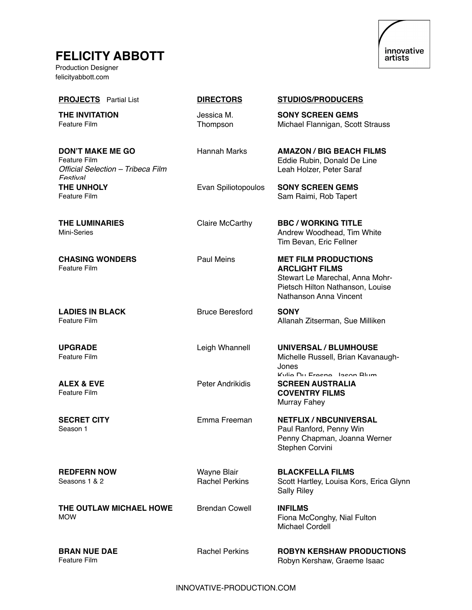## **FELICITY ABBOTT**

Production Designer felicityabbott.com



| <b>PROJECTS</b> Partial List                                                                    | <b>DIRECTORS</b>                     | <b>STUDIOS/PRODUCERS</b>                                                                                                                              |
|-------------------------------------------------------------------------------------------------|--------------------------------------|-------------------------------------------------------------------------------------------------------------------------------------------------------|
| <b>THE INVITATION</b><br>Feature Film                                                           | Jessica M.<br>Thompson               | <b>SONY SCREEN GEMS</b><br>Michael Flannigan, Scott Strauss                                                                                           |
| <b>DON'T MAKE ME GO</b><br><b>Feature Film</b><br>Official Selection - Tribeca Film<br>Festival | <b>Hannah Marks</b>                  | <b>AMAZON / BIG BEACH FILMS</b><br>Eddie Rubin, Donald De Line<br>Leah Holzer, Peter Saraf                                                            |
| <b>THE UNHOLY</b><br><b>Feature Film</b>                                                        | Evan Spiliotopoulos                  | <b>SONY SCREEN GEMS</b><br>Sam Raimi, Rob Tapert                                                                                                      |
| <b>THE LUMINARIES</b><br>Mini-Series                                                            | Claire McCarthy                      | <b>BBC/WORKING TITLE</b><br>Andrew Woodhead, Tim White<br>Tim Bevan, Eric Fellner                                                                     |
| <b>CHASING WONDERS</b><br>Feature Film                                                          | <b>Paul Meins</b>                    | <b>MET FILM PRODUCTIONS</b><br><b>ARCLIGHT FILMS</b><br>Stewart Le Marechal, Anna Mohr-<br>Pietsch Hilton Nathanson, Louise<br>Nathanson Anna Vincent |
| <b>LADIES IN BLACK</b><br>Feature Film                                                          | <b>Bruce Beresford</b>               | <b>SONY</b><br>Allanah Zitserman, Sue Milliken                                                                                                        |
| <b>UPGRADE</b><br>Feature Film                                                                  | Leigh Whannell                       | <b>UNIVERSAL / BLUMHOUSE</b><br>Michelle Russell, Brian Kavanaugh-<br>Jones<br>Kylia Du Fraena Jaeon Rlum                                             |
| <b>ALEX &amp; EVE</b><br><b>Feature Film</b>                                                    | Peter Andrikidis                     | <b>SCREEN AUSTRALIA</b><br><b>COVENTRY FILMS</b><br>Murray Fahey                                                                                      |
| <b>SECRET CITY</b><br>Season 1                                                                  | Emma Freeman                         | <b>NETFLIX / NBCUNIVERSAL</b><br>Paul Ranford, Penny Win<br>Penny Chapman, Joanna Werner<br>Stephen Corvini                                           |
| <b>REDFERN NOW</b><br>Seasons 1 & 2                                                             | Wayne Blair<br><b>Rachel Perkins</b> | <b>BLACKFELLA FILMS</b><br>Scott Hartley, Louisa Kors, Erica Glynn<br><b>Sally Riley</b>                                                              |
| THE OUTLAW MICHAEL HOWE<br><b>MOW</b>                                                           | <b>Brendan Cowell</b>                | <b>INFILMS</b><br>Fiona McConghy, Nial Fulton<br><b>Michael Cordell</b>                                                                               |
| <b>BRAN NUE DAE</b><br>Feature Film                                                             | <b>Rachel Perkins</b>                | <b>ROBYN KERSHAW PRODUCTIONS</b><br>Robyn Kershaw, Graeme Isaac                                                                                       |

INNOVATIVE-PRODUCTION.COM